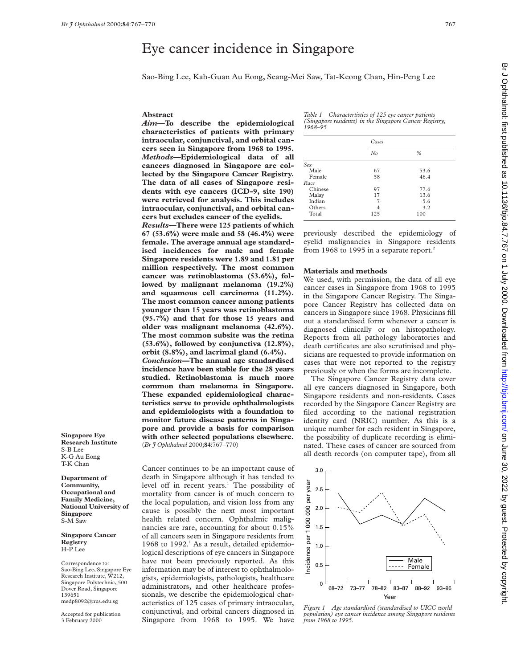# Eye cancer incidence in Singapore

Sao-Bing Lee, Kah-Guan Au Eong, Seang-Mei Saw, Tat-Keong Chan, Hin-Peng Lee

## **Abstract**

*Aim***—To describe the epidemiological characteristics of patients with primary intraocular, conjunctival, and orbital cancers seen in Singapore from 1968 to 1995.** *Methods***—Epidemiological data of all cancers diagnosed in Singapore are collected by the Singapore Cancer Registry. The data of all cases of Singapore residents with eye cancers (ICD-9, site 190) were retrieved for analysis. This includes intraocular, conjunctival, and orbital can-**

**cers but excludes cancer of the eyelids.** *Results***—There were 125 patients of which 67 (53.6%) were male and 58 (46.4%) were female. The average annual age standardised incidences for male and female Singapore residents were 1.89 and 1.81 per million respectively. The most common cancer was retinoblastoma (53.6%), followed by malignant melanoma (19.2%) and squamous cell carcinoma (11.2%). The most common cancer among patients younger than 15 years was retinoblastoma (95.7%) and that for those 15 years and older was malignant melanoma (42.6%). The most common subsite was the retina (53.6%), followed by conjunctiva (12.8%), orbit (8.8%), and lacrimal gland (6.4%).** *Conclusion—***The annual age standardised incidence have been stable for the 28 years studied. Retinoblastoma is much more common than melanoma in Singapore. These expanded epidemiological characteristics serve to provide ophthalmologists and epidemiologists with a foundation to monitor future disease patterns in Singapore and provide a basis for comparison with other selected populations elsewhere.** (*Br J Ophthalmol* 2000;**84**:767–770)

**Singapore Eye Research Institute** S-B Lee K-G Au Eong T-K Chan

**Department of Community, Occupational and Family Medicine, National University of Singapore** S-M Saw

**Singapore Cancer Registry** H-P Lee

Correspondence to: Sao-Bing Lee, Singapore Eye Research Institute, W212, Singapore Polytechnic, 500 Dover Road, Singapore 139651 medp8092@nus.edu.sg

Accepted for publication 3 February 2000

Cancer continues to be an important cause of death in Singapore although it has tended to level off in recent years.<sup>1</sup> The possibility of mortality from cancer is of much concern to the local population, and vision loss from any cause is possibly the next most important health related concern. Ophthalmic malignancies are rare, accounting for about 0.15% of all cancers seen in Singapore residents from 1968 to 1992. $<sup>1</sup>$  As a result, detailed epidemio-</sup> logical descriptions of eye cancers in Singapore have not been previously reported. As this information may be of interest to ophthalmologists, epidemiologists, pathologists, healthcare administrators, and other healthcare professionals, we describe the epidemiological characteristics of 125 cases of primary intraocular, conjunctival, and orbital cancers diagnosed in Singapore from 1968 to 1995. We have

*Table 1 Charactertistics of 125 eye cancer patients (Singapore residents) in the Singapore Cancer Registry, 1968–95*

|         | Cases |               |  |
|---------|-------|---------------|--|
|         | No    | $\frac{0}{0}$ |  |
| Sex     |       |               |  |
| Male    | 67    | 53.6          |  |
| Female  | 58    | 46.4          |  |
| Race    |       |               |  |
| Chinese | 97    | 77.6          |  |
| Malay   | 17    | 13.6          |  |
| Indian  | 7     | 5.6           |  |
| Others  | 4     | 3.2           |  |
| Total   | 125   | 100           |  |

previously described the epidemiology of eyelid malignancies in Singapore residents from 1968 to 1995 in a separate report.<sup>2</sup>

## **Materials and methods**

We used, with permission, the data of all eye cancer cases in Singapore from 1968 to 1995 in the Singapore Cancer Registry. The Singapore Cancer Registry has collected data on cancers in Singapore since 1968. Physicians fill out a standardised form whenever a cancer is diagnosed clinically or on histopathology. Reports from all pathology laboratories and death certificates are also scrutinised and physicians are requested to provide information on cases that were not reported to the registry previously or when the forms are incomplete.

The Singapore Cancer Registry data cover all eye cancers diagnosed in Singapore, both Singapore residents and non-residents. Cases recorded by the Singapore Cancer Registry are filed according to the national registration identity card (NRIC) number. As this is a unique number for each resident in Singapore, the possibility of duplicate recording is eliminated. These cases of cancer are sourced from all death records (on computer tape), from all



*Figure 1 Age standardised (standardised to UICC world population) eye cancer incidence among Singapore residents from 1968 to 1995.*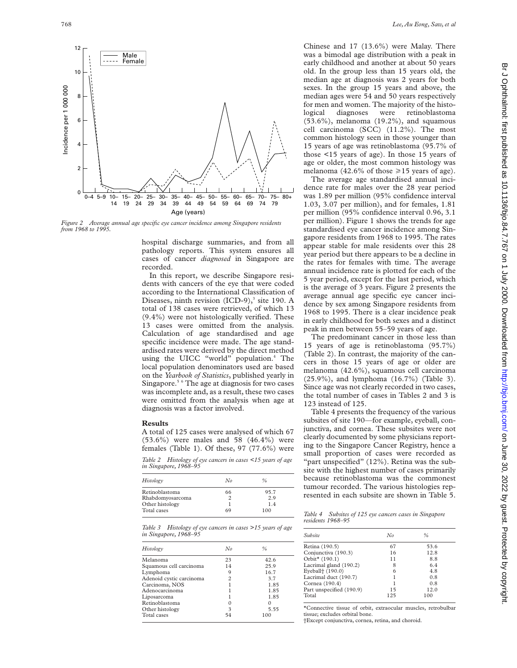

*Figure 2 Average annual age specific eye cancer incidence among Singapore residents from 1968 to 1995.*

hospital discharge summaries, and from all pathology reports. This system ensures all cases of cancer *diagnosed* in Singapore are recorded.

In this report, we describe Singapore residents with cancers of the eye that were coded according to the International Classification of Diseases, ninth revision  $(ICD-9)$ ,<sup>3</sup> site 190. A total of 138 cases were retrieved, of which 13 (9.4%) were not histologically verified. These 13 cases were omitted from the analysis. Calculation of age standardised and age specific incidence were made. The age standardised rates were derived by the direct method using the UICC "world" population.<sup>4</sup> The local population denominators used are based on the *Yearbook of Statistics*, published yearly in Singapore.5 6 The age at diagnosis for two cases was incomplete and, as a result, these two cases were omitted from the analysis when age at diagnosis was a factor involved.

## **Results**

A total of 125 cases were analysed of which 67 (53.6%) were males and 58 (46.4%) were females (Table 1). Of these, 97 (77.6%) were

*Table 2 Histology of eye cancers in cases <15 years of age in Singapore, 1968–95*

| Histology        | No | %    |
|------------------|----|------|
| Retinoblastoma   | 66 | 95.7 |
| Rhabdomyosarcoma |    | 2.9  |
| Other histology  |    | 1.4  |
| Total cases      | 69 | 100  |

*Table 3 Histology of eye cancers in cases >15 years of age in Singapore, 1968–95*

| Histology                | No                 | %    |
|--------------------------|--------------------|------|
| Melanoma                 | 23                 | 42.6 |
| Squamous cell carcinoma  | 14                 | 25.9 |
| Lymphoma                 | q                  | 16.7 |
| Adenoid cystic carcinoma | 2                  | 3.7  |
| Carcinoma, NOS           |                    | 1.85 |
| Adenocarcinoma           |                    | 1.85 |
| Liposarcoma              |                    | 1.85 |
| Retinoblastoma           |                    |      |
| Other histology          | $\mathbf{\hat{z}}$ | 5.55 |
| Total cases              |                    | 100  |
|                          |                    |      |

Chinese and 17 (13.6%) were Malay. There was a bimodal age distribution with a peak in early childhood and another at about 50 years old. In the group less than 15 years old, the median age at diagnosis was 2 years for both sexes. In the group 15 years and above, the median ages were 54 and 50 years respectively for men and women. The majority of the histological diagnoses were retinoblastoma (53.6%), melanoma (19.2%), and squamous cell carcinoma (SCC) (11.2%). The most common histology seen in those younger than 15 years of age was retinoblastoma (95.7% of those <15 years of age). In those 15 years of age or older, the most common histology was melanoma (42.6% of those  $\geq$  15 years of age).

The average age standardised annual incidence rate for males over the 28 year period was 1.89 per million (95% confidence interval 1.03, 3.07 per million), and for females, 1.81 per million (95% confidence interval 0.96, 3.1 per million). Figure 1 shows the trends for age standardised eye cancer incidence among Singapore residents from 1968 to 1995. The rates appear stable for male residents over this 28 year period but there appears to be a decline in the rates for females with time. The average annual incidence rate is plotted for each of the 5 year period, except for the last period, which is the average of 3 years. Figure 2 presents the average annual age specific eye cancer incidence by sex among Singapore residents from 1968 to 1995. There is a clear incidence peak in early childhood for both sexes and a distinct peak in men between 55–59 years of age.

The predominant cancer in those less than 15 years of age is retinoblastoma (95.7%) (Table 2). In contrast, the majority of the cancers in those 15 years of age or older are melanoma (42.6%), squamous cell carcinoma (25.9%), and lymphoma (16.7%) (Table 3). Since age was not clearly recorded in two cases, the total number of cases in Tables 2 and 3 is 123 instead of 125.

Table 4 presents the frequency of the various subsites of site 190—for example, eyeball, conjunctiva, and cornea. These subsites were not clearly documented by some physicians reporting to the Singapore Cancer Registry, hence a small proportion of cases were recorded as "part unspecified" (12%). Retina was the subsite with the highest number of cases primarily because retinoblastoma was the commonest tumour recorded. The various histologies represented in each subsite are shown in Table 5.

*Table 4 Subsites of 125 eye cancers cases in Singapore residents 1968–95*

| Subsite                      | No  | %    |
|------------------------------|-----|------|
| Retina (190.5)               | 67  | 53.6 |
| Conjunctiva (190.3)          | 16  | 12.8 |
| Orbit* (190.1)               | 11  | 8.8  |
| Lacrimal gland (190.2)       | 8   | 6.4  |
| Eyeball <sup>+</sup> (190.0) | 6   | 4.8  |
| Lacrimal duct (190.7)        | 1   | 0.8  |
| Cornea (190.4)               |     | 0.8  |
| Part unspecified (190.9)     | 15  | 12.0 |
| Total                        | 125 | 100  |

\*Connective tissue of orbit, extraocular muscles, retrobulbar tissue; excludes orbital bone.

†Except conjunctiva, cornea, retina, and choroid.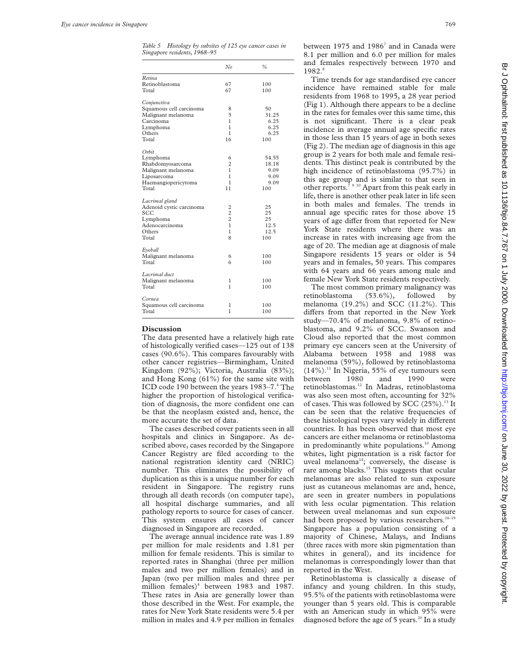*Table 5 Histology by subsites of 125 eye cancer cases in Singapore residents, 1968–95*

|                                  | No                      | $\frac{0}{6}$ |
|----------------------------------|-------------------------|---------------|
| Retina                           |                         |               |
| Retinoblastoma                   | 67                      | 100           |
| Total                            | 67                      | 100           |
| Conjunctiva                      |                         |               |
| Squamous cell carcinoma          | 8                       | 50            |
| Malignant melanoma               | 5                       | 31.25         |
| Carcinoma                        | 1                       | 6.25          |
| Lymphoma                         | 1                       | 6.25          |
| Others                           | 1                       | 6.25          |
| Total                            | 16                      | 100           |
| Orbit                            |                         |               |
| Lymphoma                         | 6                       | 54.55         |
| Rhabdomyosarcoma                 | $\overline{2}$          | 18.18         |
| Malignant melanoma               | 1                       | 9.09          |
| Liposarcoma                      | 1                       | 9.09          |
| Haemangiopericytoma              | 1                       | 9.09          |
| Total                            | 11                      | 100           |
| Lacrimal gland                   |                         |               |
| Adenoid cystic carcinoma         | $\overline{\mathbf{c}}$ | 25            |
| SCC                              | $\overline{c}$          | 25            |
| Lymphoma                         | $\overline{c}$          | 25            |
| Adenocarcinoma                   | $\mathbf{1}$            | 12.5          |
| Others                           | $\mathbf{1}$            | 12.5          |
| Total                            | 8                       | 100           |
| Eyeball                          |                         |               |
| Malignant melanoma               | 6                       | 100           |
| Total                            | 6                       | 100           |
| Lacrimal duct                    |                         |               |
| Malignant melanoma               | 1                       | 100           |
| Total                            | 1                       | 100           |
|                                  |                         |               |
| Cornea                           |                         |               |
| Squamous cell carcinoma<br>Total | 1<br>1                  | 100<br>100    |
|                                  |                         |               |

#### **Discussion**

The data presented have a relatively high rate of histologically verified cases—125 out of 138 cases (90.6%). This compares favourably with other cancer registries—Birmingham, United Kingdom (92%); Victoria, Australia (83%); and Hong Kong (61%) for the same site with ICD code 190 between the years 1983–7.4 The higher the proportion of histological verification of diagnosis, the more confident one can be that the neoplasm existed and, hence, the more accurate the set of data.

The cases described cover patients seen in all hospitals and clinics in Singapore. As described above, cases recorded by the Singapore Cancer Registry are filed according to the national registration identity card (NRIC) number. This eliminates the possibility of duplication as this is a unique number for each resident in Singapore. The registry runs through all death records (on computer tape), all hospital discharge summaries, and all pathology reports to source for cases of cancer. This system ensures all cases of cancer diagnosed in Singapore are recorded.

The average annual incidence rate was 1.89 per million for male residents and 1.81 per million for female residents. This is similar to reported rates in Shanghai (three per million males and two per million females) and in Japan (two per million males and three per million females)<sup>4</sup> between 1983 and 1987. These rates in Asia are generally lower than those described in the West. For example, the rates for New York State residents were 5.4 per million in males and 4.9 per million in females between 1975 and  $1986^7$  and in Canada were 8.1 per million and 6.0 per million for males and females respectively between 1970 and 1982.<sup>8</sup>

Time trends for age standardised eye cancer incidence have remained stable for male residents from 1968 to 1995, a 28 year period (Fig 1). Although there appears to be a decline in the rates for females over this same time, this is not significant. There is a clear peak incidence in average annual age specific rates in those less than 15 years of age in both sexes (Fig 2). The median age of diagnosis in this age group is 2 years for both male and female residents. This distinct peak is contributed by the high incidence of retinoblastoma (95.7%) in this age group and is similar to that seen in other reports.7 9 10 Apart from this peak early in life, there is another other peak later in life seen in both males and females. The trends in annual age specific rates for those above 15 years of age differ from that reported for New York State residents where there was an increase in rates with increasing age from the age of 20. The median age at diagnosis of male Singapore residents 15 years or older is 54 years and in females, 50 years. This compares with 64 years and 66 years among male and female New York State residents respectively.

The most common primary malignancy was retinoblastoma (53.6%), followed by melanoma (19.2%) and SCC (11.2%). This differs from that reported in the New York study—70.4% of melanoma, 9.8% of retinoblastoma, and 9.2% of SCC. Swanson and Cloud also reported that the most common primary eye cancers seen at the University of Alabama between 1958 and 1988 was melanoma (59%), followed by retinoblastoma  $(14\%)$ .<sup>11</sup> In Nigeria, 55% of eye tumours seen between 1980 and 1990 were retinoblastomas.12 In Madras, retinoblastoma was also seen most often, accounting for 32% of cases. This was followed by SCC (25%).<sup>13</sup> It can be seen that the relative frequencies of these histological types vary widely in different countries. It has been observed that most eye cancers are either melanoma or retinoblastoma in predominantly white populations.<sup>10</sup> Among whites, light pigmentation is a risk factor for uveal melanoma<sup>14</sup>; conversely, the disease is rare among blacks.<sup>15</sup> This suggests that ocular melanomas are also related to sun exposure just as cutaneous melanomas are and, hence, are seen in greater numbers in populations with less ocular pigmentation. This relation between uveal melanomas and sun exposure had been proposed by various researchers.<sup>16-19</sup> Singapore has a population consisting of a majority of Chinese, Malays, and Indians (three races with more skin pigmentation than whites in general), and its incidence for melanomas is correspondingly lower than that reported in the West.

Retinoblastoma is classically a disease of infancy and young children. In this study, 95.5% of the patients with retinoblastoma were younger than 5 years old. This is comparable with an American study in which 95% were diagnosed before the age of 5 years.<sup>20</sup> In a study